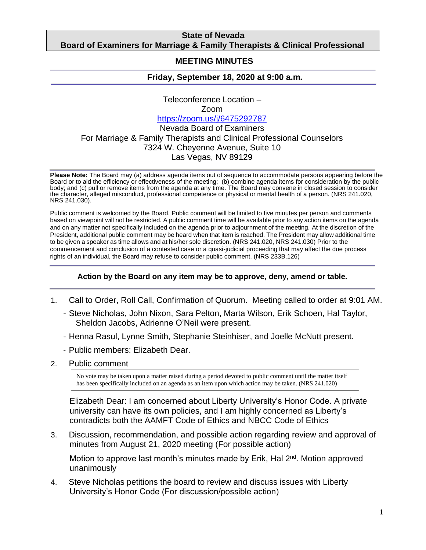## **State of Nevada Board of Examiners for Marriage & Family Therapists & Clinical Professional**

## **Counselors MEETING MINUTES**

## **Friday, September 18, 2020 at 9:00 a.m***.*

Teleconference Location – Zoom <https://zoom.us/j/6475292787> Nevada Board of Examiners For Marriage & Family Therapists and Clinical Professional Counselors 7324 W. Cheyenne Avenue, Suite 10 Las Vegas, NV 89129

**Please Note:** The Board may (a) address agenda items out of sequence to accommodate persons appearing before the Board or to aid the efficiency or effectiveness of the meeting; (b) combine agenda items for consideration by the public body; and (c) pull or remove items from the agenda at any time. The Board may convene in closed session to consider the character, alleged misconduct, professional competence or physical or mental health of a person. (NRS 241.020, NRS 241.030).

Public comment is welcomed by the Board. Public comment will be limited to five minutes per person and comments based on viewpoint will not be restricted. A public comment time will be available prior to any action items on the agenda and on any matter not specifically included on the agenda prior to adjournment of the meeting. At the discretion of the President, additional public comment may be heard when that item is reached. The President may allow additional time to be given a speaker as time allows and at his/her sole discretion. (NRS 241.020, NRS 241.030) Prior to the commencement and conclusion of a contested case or a quasi-judicial proceeding that may affect the due process rights of an individual, the Board may refuse to consider public comment. (NRS 233B.126)

## **Action by the Board on any item may be to approve, deny, amend or table.**

- 1. Call to Order, Roll Call, Confirmation of Quorum. Meeting called to order at 9:01 AM.
	- Steve Nicholas, John Nixon, Sara Pelton, Marta Wilson, Erik Schoen, Hal Taylor, Sheldon Jacobs, Adrienne O'Neil were present.
	- Henna Rasul, Lynne Smith, Stephanie Steinhiser, and Joelle McNutt present.
	- Public members: Elizabeth Dear.
- 2. Public comment

No vote may be taken upon a matter raised during a period devoted to public comment until the matter itself has been specifically included on an agenda as an item upon which action may be taken. (NRS 241.020)

Elizabeth Dear: I am concerned about Liberty University's Honor Code. A private university can have its own policies, and I am highly concerned as Liberty's contradicts both the AAMFT Code of Ethics and NBCC Code of Ethics

3. Discussion, recommendation, and possible action regarding review and approval of minutes from August 21, 2020 meeting (For possible action)

Motion to approve last month's minutes made by Erik, Hal 2<sup>nd</sup>. Motion approved unanimously

4. Steve Nicholas petitions the board to review and discuss issues with Liberty University's Honor Code (For discussion/possible action)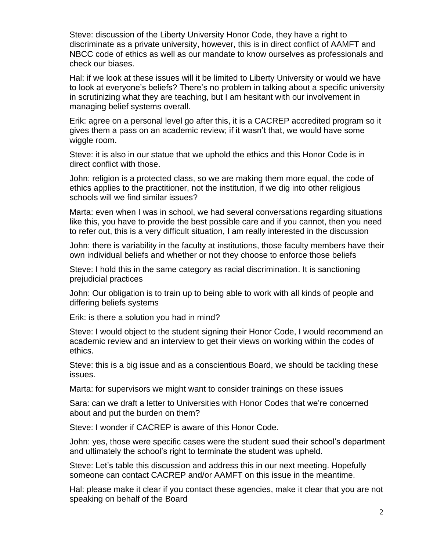Steve: discussion of the Liberty University Honor Code, they have a right to discriminate as a private university, however, this is in direct conflict of AAMFT and NBCC code of ethics as well as our mandate to know ourselves as professionals and check our biases.

Hal: if we look at these issues will it be limited to Liberty University or would we have to look at everyone's beliefs? There's no problem in talking about a specific university in scrutinizing what they are teaching, but I am hesitant with our involvement in managing belief systems overall.

Erik: agree on a personal level go after this, it is a CACREP accredited program so it gives them a pass on an academic review; if it wasn't that, we would have some wiggle room.

Steve: it is also in our statue that we uphold the ethics and this Honor Code is in direct conflict with those.

John: religion is a protected class, so we are making them more equal, the code of ethics applies to the practitioner, not the institution, if we dig into other religious schools will we find similar issues?

Marta: even when I was in school, we had several conversations regarding situations like this, you have to provide the best possible care and if you cannot, then you need to refer out, this is a very difficult situation, I am really interested in the discussion

John: there is variability in the faculty at institutions, those faculty members have their own individual beliefs and whether or not they choose to enforce those beliefs

Steve: I hold this in the same category as racial discrimination. It is sanctioning prejudicial practices

John: Our obligation is to train up to being able to work with all kinds of people and differing beliefs systems

Erik: is there a solution you had in mind?

Steve: I would object to the student signing their Honor Code, I would recommend an academic review and an interview to get their views on working within the codes of ethics.

Steve: this is a big issue and as a conscientious Board, we should be tackling these issues.

Marta: for supervisors we might want to consider trainings on these issues

Sara: can we draft a letter to Universities with Honor Codes that we're concerned about and put the burden on them?

Steve: I wonder if CACREP is aware of this Honor Code.

John: yes, those were specific cases were the student sued their school's department and ultimately the school's right to terminate the student was upheld.

Steve: Let's table this discussion and address this in our next meeting. Hopefully someone can contact CACREP and/or AAMFT on this issue in the meantime.

Hal: please make it clear if you contact these agencies, make it clear that you are not speaking on behalf of the Board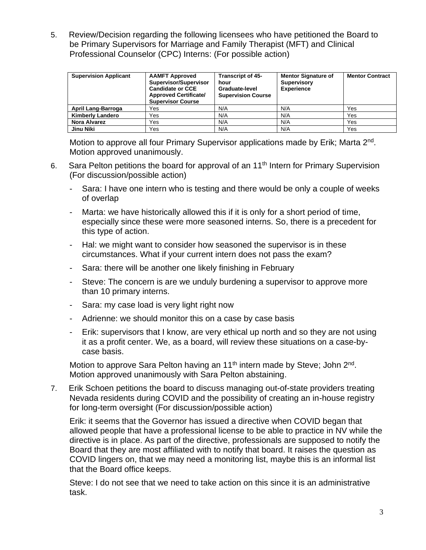5. Review/Decision regarding the following licensees who have petitioned the Board to be Primary Supervisors for Marriage and Family Therapist (MFT) and Clinical Professional Counselor (CPC) Interns: (For possible action)

| <b>Supervision Applicant</b> | <b>AAMFT Approved</b><br>Supervisor/Supervisor<br><b>Candidate or CCE</b><br><b>Approved Certificate/</b><br><b>Supervisor Course</b> | <b>Transcript of 45-</b><br>hour<br>Graduate-level<br><b>Supervision Course</b> | <b>Mentor Signature of</b><br><b>Supervisory</b><br><b>Experience</b> | <b>Mentor Contract</b> |
|------------------------------|---------------------------------------------------------------------------------------------------------------------------------------|---------------------------------------------------------------------------------|-----------------------------------------------------------------------|------------------------|
| April Lang-Barroga           | Yes                                                                                                                                   | N/A                                                                             | N/A                                                                   | Yes                    |
| <b>Kimberly Landero</b>      | Yes                                                                                                                                   | N/A                                                                             | N/A                                                                   | Yes                    |
| Nora Alvarez                 | Yes                                                                                                                                   | N/A                                                                             | N/A                                                                   | Yes                    |
| Jinu Niki                    | Yes                                                                                                                                   | N/A                                                                             | N/A                                                                   | Yes                    |

Motion to approve all four Primary Supervisor applications made by Erik; Marta 2<sup>nd</sup>. Motion approved unanimously.

- 6. Sara Pelton petitions the board for approval of an 11<sup>th</sup> Intern for Primary Supervision (For discussion/possible action)
	- Sara: I have one intern who is testing and there would be only a couple of weeks of overlap
	- Marta: we have historically allowed this if it is only for a short period of time, especially since these were more seasoned interns. So, there is a precedent for this type of action.
	- Hal: we might want to consider how seasoned the supervisor is in these circumstances. What if your current intern does not pass the exam?
	- Sara: there will be another one likely finishing in February
	- Steve: The concern is are we unduly burdening a supervisor to approve more than 10 primary interns.
	- Sara: my case load is very light right now
	- Adrienne: we should monitor this on a case by case basis
	- Erik: supervisors that I know, are very ethical up north and so they are not using it as a profit center. We, as a board, will review these situations on a case-bycase basis.

Motion to approve Sara Pelton having an 11<sup>th</sup> intern made by Steve; John 2<sup>nd</sup>. Motion approved unanimously with Sara Pelton abstaining.

7. Erik Schoen petitions the board to discuss managing out-of-state providers treating Nevada residents during COVID and the possibility of creating an in-house registry for long-term oversight (For discussion/possible action)

Erik: it seems that the Governor has issued a directive when COVID began that allowed people that have a professional license to be able to practice in NV while the directive is in place. As part of the directive, professionals are supposed to notify the Board that they are most affiliated with to notify that board. It raises the question as COVID lingers on, that we may need a monitoring list, maybe this is an informal list that the Board office keeps.

Steve: I do not see that we need to take action on this since it is an administrative task.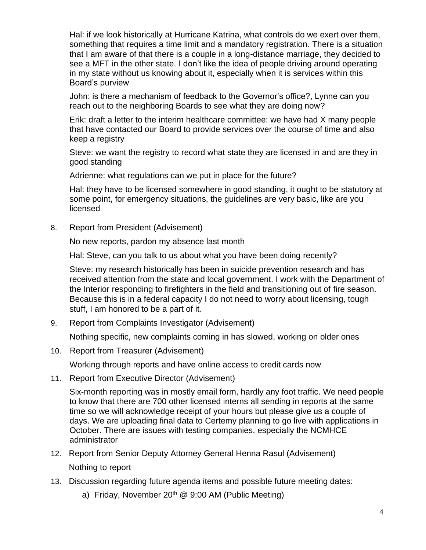Hal: if we look historically at Hurricane Katrina, what controls do we exert over them, something that requires a time limit and a mandatory registration. There is a situation that I am aware of that there is a couple in a long-distance marriage, they decided to see a MFT in the other state. I don't like the idea of people driving around operating in my state without us knowing about it, especially when it is services within this Board's purview

John: is there a mechanism of feedback to the Governor's office?, Lynne can you reach out to the neighboring Boards to see what they are doing now?

Erik: draft a letter to the interim healthcare committee: we have had X many people that have contacted our Board to provide services over the course of time and also keep a registry

Steve: we want the registry to record what state they are licensed in and are they in good standing

Adrienne: what regulations can we put in place for the future?

Hal: they have to be licensed somewhere in good standing, it ought to be statutory at some point, for emergency situations, the guidelines are very basic, like are you licensed

8. Report from President (Advisement)

No new reports, pardon my absence last month

Hal: Steve, can you talk to us about what you have been doing recently?

Steve: my research historically has been in suicide prevention research and has received attention from the state and local government. I work with the Department of the Interior responding to firefighters in the field and transitioning out of fire season. Because this is in a federal capacity I do not need to worry about licensing, tough stuff, I am honored to be a part of it.

9. Report from Complaints Investigator (Advisement)

Nothing specific, new complaints coming in has slowed, working on older ones

10. Report from Treasurer (Advisement)

Working through reports and have online access to credit cards now

11. Report from Executive Director (Advisement)

Six-month reporting was in mostly email form, hardly any foot traffic. We need people to know that there are 700 other licensed interns all sending in reports at the same time so we will acknowledge receipt of your hours but please give us a couple of days. We are uploading final data to Certemy planning to go live with applications in October. There are issues with testing companies, especially the NCMHCE administrator

12. Report from Senior Deputy Attorney General Henna Rasul (Advisement)

Nothing to report

- 13. Discussion regarding future agenda items and possible future meeting dates:
	- a) Friday, November  $20<sup>th</sup>$  @ 9:00 AM (Public Meeting)